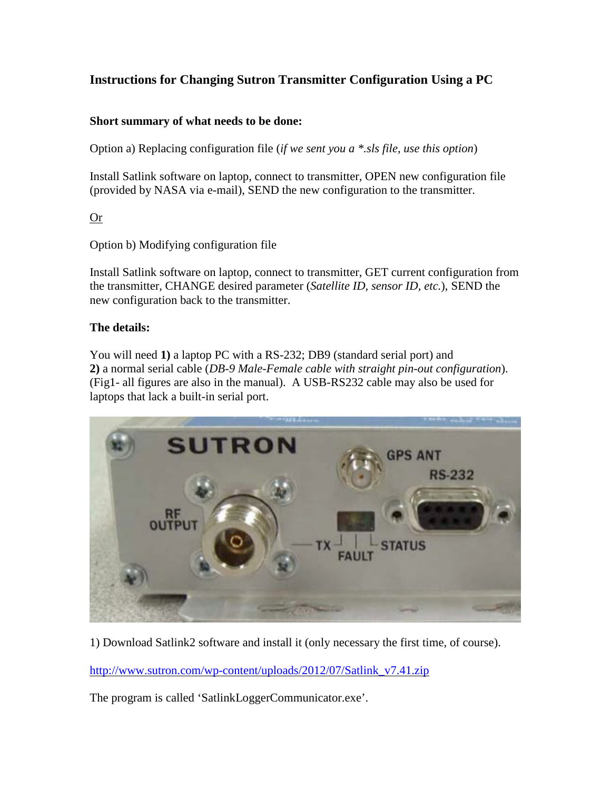## **Instructions for Changing Sutron Transmitter Configuration Using a PC**

## **Short summary of what needs to be done:**

Option a) Replacing configuration file (*if we sent you a \*.sls file, use this option*)

Install Satlink software on laptop, connect to transmitter, OPEN new configuration file (provided by NASA via e-mail), SEND the new configuration to the transmitter.

Or

Option b) Modifying configuration file

Install Satlink software on laptop, connect to transmitter, GET current configuration from the transmitter, CHANGE desired parameter (*Satellite ID, sensor ID, etc.*), SEND the new configuration back to the transmitter.

## **The details:**

You will need **1)** a laptop PC with a RS-232; DB9 (standard serial port) and **2)** a normal serial cable (*DB-9 Male-Female cable with straight pin-out configuration*). (Fig1- all figures are also in the manual). A USB-RS232 cable may also be used for laptops that lack a built-in serial port.



1) Download Satlink2 software and install it (only necessary the first time, of course).

[http://www.sutron.com/wp-content/uploads/2012/07/Satlink\\_v7.41.zip](http://www.sutron.com/wp-content/uploads/2012/07/Satlink_v7.41.zip)

The program is called 'SatlinkLoggerCommunicator.exe'.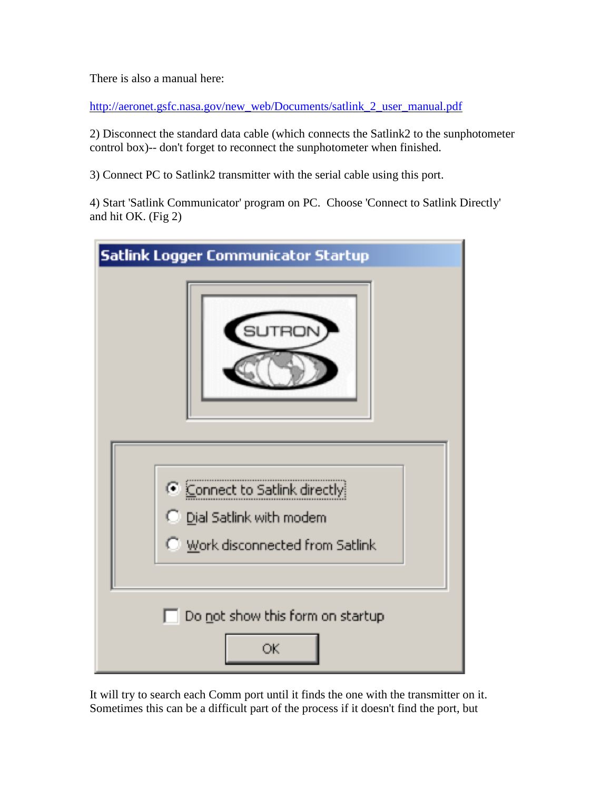There is also a manual here:

[http://aeronet.gsfc.nasa.gov/new\\_web/Documents/satlink\\_2\\_user\\_manual.pdf](http://aeronet.gsfc.nasa.gov/new_web/Documents/satlink_2_user_manual.pdf)

2) Disconnect the standard data cable (which connects the Satlink2 to the sunphotometer control box)-- don't forget to reconnect the sunphotometer when finished.

3) Connect PC to Satlink2 transmitter with the serial cable using this port.

4) Start 'Satlink Communicator' program on PC. Choose 'Connect to Satlink Directly' and hit OK. (Fig 2)



It will try to search each Comm port until it finds the one with the transmitter on it. Sometimes this can be a difficult part of the process if it doesn't find the port, but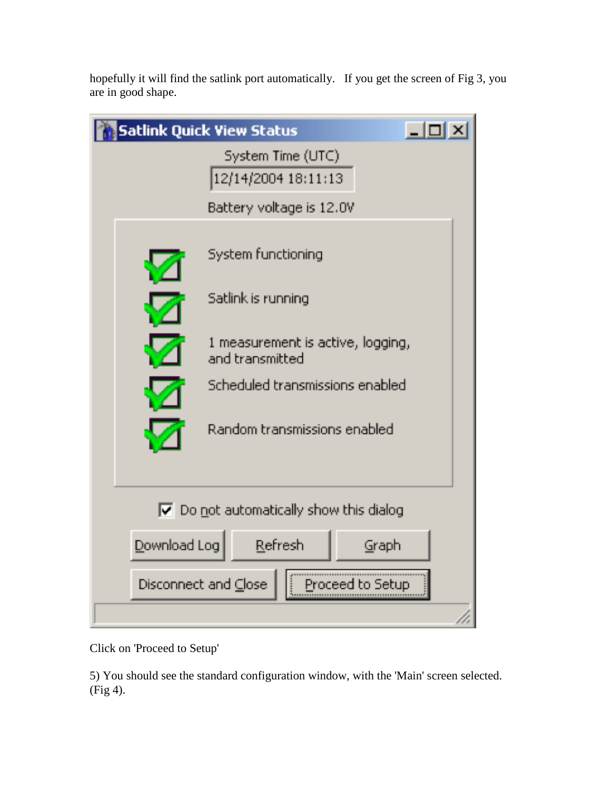hopefully it will find the satlink port automatically. If you get the screen of Fig 3, you are in good shape.

| Satlink Quick View Status                             |  |
|-------------------------------------------------------|--|
| System Time (UTC)<br>12/14/2004 18:11:13              |  |
| Battery voltage is 12.0V                              |  |
| System functioning                                    |  |
| Satlink is running                                    |  |
| 1 measurement is active, logging,<br>and transmitted  |  |
| Scheduled transmissions enabled                       |  |
| Random transmissions enabled                          |  |
|                                                       |  |
| $\triangledown$ Do not automatically show this dialog |  |
| Download Log<br>Refresh<br>Graph                      |  |
| Disconnect and Close<br>Proceed to Setup              |  |
|                                                       |  |

Click on 'Proceed to Setup'

5) You should see the standard configuration window, with the 'Main' screen selected. (Fig 4).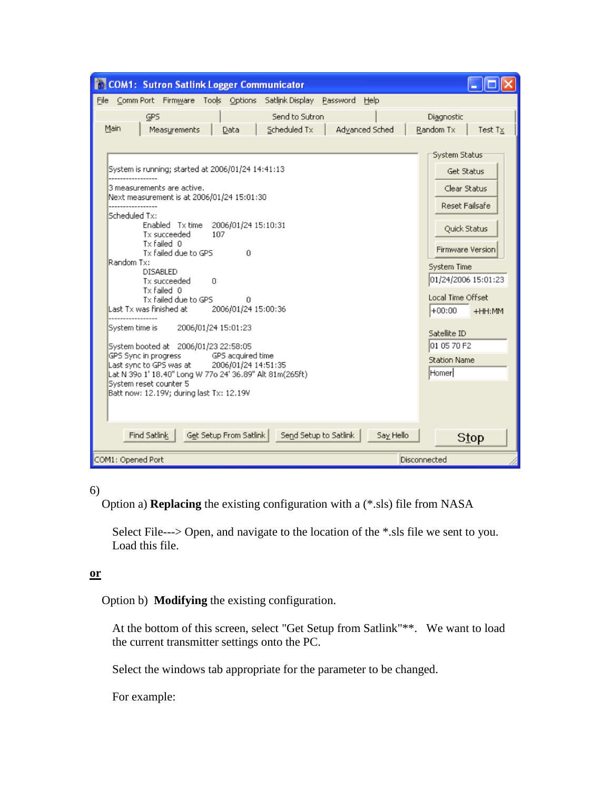

6)

Option a) **Replacing** the existing configuration with a (\*.sls) file from NASA

Select File---> Open, and navigate to the location of the \*.sls file we sent to you. Load this file.

## **or**

Option b) **Modifying** the existing configuration.

At the bottom of this screen, select "Get Setup from Satlink"\*\*. We want to load the current transmitter settings onto the PC.

Select the windows tab appropriate for the parameter to be changed.

For example: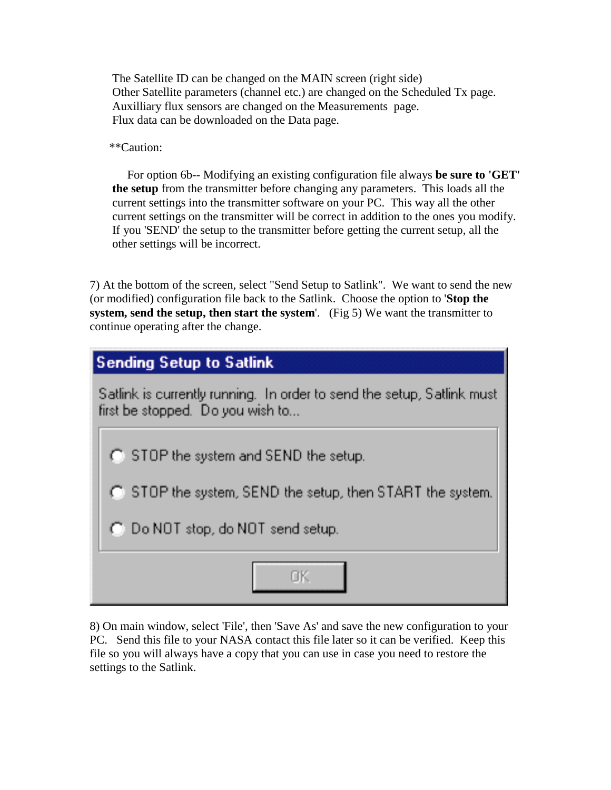The Satellite ID can be changed on the MAIN screen (right side) Other Satellite parameters (channel etc.) are changed on the Scheduled Tx page. Auxilliary flux sensors are changed on the Measurements page. Flux data can be downloaded on the Data page.

\*\*Caution:

 For option 6b-- Modifying an existing configuration file always **be sure to 'GET' the setup** from the transmitter before changing any parameters. This loads all the current settings into the transmitter software on your PC. This way all the other current settings on the transmitter will be correct in addition to the ones you modify. If you 'SEND' the setup to the transmitter before getting the current setup, all the other settings will be incorrect.

7) At the bottom of the screen, select "Send Setup to Satlink". We want to send the new (or modified) configuration file back to the Satlink. Choose the option to '**Stop the system, send the setup, then start the system**'. (Fig 5) We want the transmitter to continue operating after the change.

| Sending Setup to Satlink                                                                                   |  |
|------------------------------------------------------------------------------------------------------------|--|
| Satlink is currently running. In order to send the setup, Satlink must<br>first be stopped. Do you wish to |  |
| C STOP the system and SEND the setup.                                                                      |  |
| ◯ STOP the system, SEND the setup, then START the system.                                                  |  |
| C Do NOT stop, do NOT send setup.                                                                          |  |
|                                                                                                            |  |

8) On main window, select 'File', then 'Save As' and save the new configuration to your PC. Send this file to your NASA contact this file later so it can be verified. Keep this file so you will always have a copy that you can use in case you need to restore the settings to the Satlink.